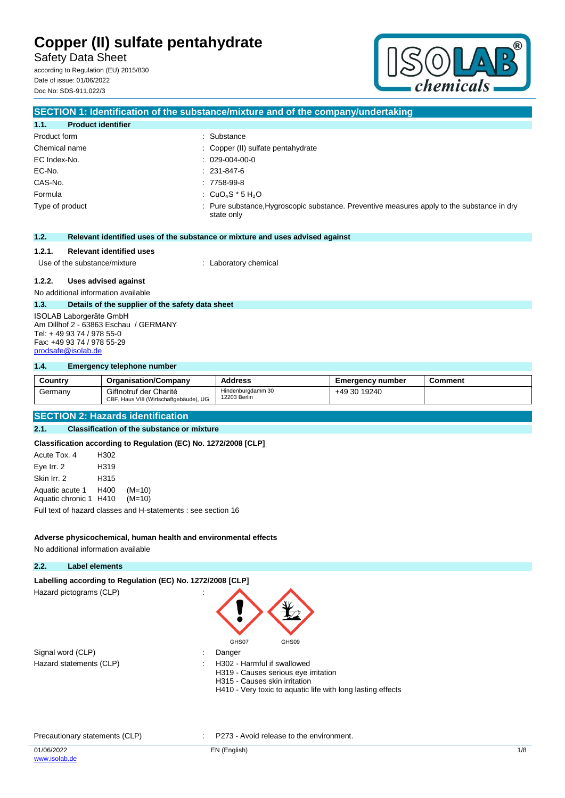Safety Data Sheet according to Regulation (EU) 2015/830

Date of issue: 01/06/2022 Doc No: SDS-911.022/3



## **SECTION 1: Identification of the substance/mixture and of the company/undertaking 1.1. Product identifier** Product form  $\qquad \qquad$ : Substance Chemical name  $\qquad \qquad : \qquad \text{Copper (II) sulfate pentahydrate}$ EC Index-No. : 029-004-00-0 EC-No. : 231-847-6 CAS-No. : 7758-99-8 Formula  $\qquad \qquad : \quad CuO_4S^*5H_2O$ Type of product **interpretatal intervalse in the substance**, Preventive measures apply to the substance in dry state only **1.2. Relevant identified uses of the substance or mixture and uses advised against 1.2.1. Relevant identified uses** Use of the substance/mixture : Laboratory chemical **1.2.2. Uses advised against** No additional information available **1.3. Details of the supplier of the safety data sheet** ISOLAB Laborgeräte GmbH Am Dillhof 2 - 63863 Eschau / GERMANY

**1.4. Emergency telephone number**

Tel: + 49 93 74 / 978 55-0 Fax: +49 93 74 / 978 55-29 [prodsafe@isolab.de](mailto:prodsafe@isolab.de)

| Country | <b>Organisation/Company</b>                                      | <b>Address</b>                    | <b>Emergency number</b> | Comment |
|---------|------------------------------------------------------------------|-----------------------------------|-------------------------|---------|
| Germany | Giftnotruf der Charité<br>CBF, Haus VIII (Wirtschaftgebäude), UG | Hindenburadamm 30<br>12203 Berlin | +49 30 19240            |         |

### **SECTION 2: Hazards identification**

### **2.1. Classification of the substance or mixture**

**Classification according to Regulation (EC) No. 1272/2008 [CLP]**

| Acute Tox, 4                                          | H302 |                                                               |
|-------------------------------------------------------|------|---------------------------------------------------------------|
| Eye Irr. 2                                            | H319 |                                                               |
| Skin Irr. 2                                           | H315 |                                                               |
| Aquatic acute 1 H400<br>Aquatic chronic 1 H410 (M=10) |      | $(M=10)$                                                      |
|                                                       |      | Full text of hazard classes and H-statements : see section 16 |

#### **Adverse physicochemical, human health and environmental effects**

No additional information available

# **2.2. Label elements**

Labelling according to Regulation (EC) No. 1272/2008 [CLP] Hazard pictograms (CLP) :

| Signal word (CLP)       | Danger        |
|-------------------------|---------------|
| Hazard statements (CLP) | $\div$ H302 - |



- - H302 Harmful if swallowed H319 - Causes serious eye irritation H315 - Causes skin irritation
	- H410 Very toxic to aquatic life with long lasting effects

#### Precautionary statements (CLP) : P273 - Avoid release to the environment.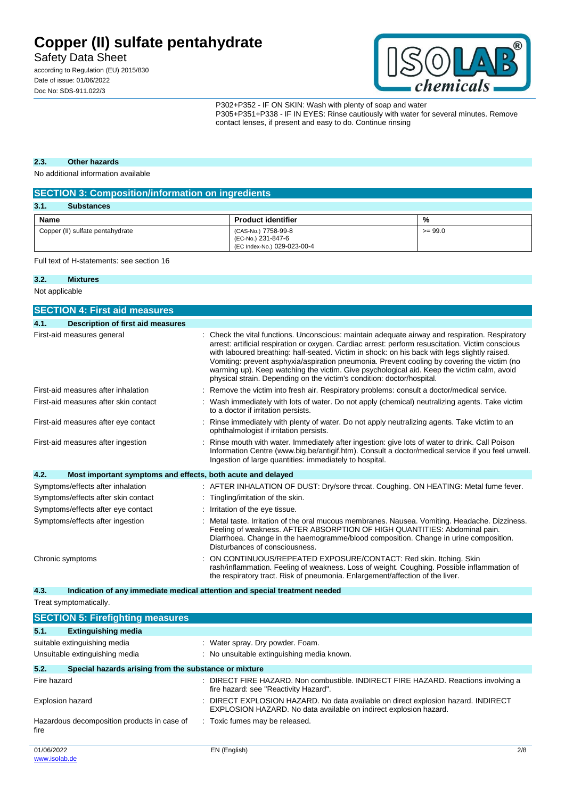Safety Data Sheet

according to Regulation (EU) 2015/830 Date of issue: 01/06/2022 Doc No: SDS-911.022/3



P302+P352 - IF ON SKIN: Wash with plenty of soap and water P305+P351+P338 - IF IN EYES: Rinse cautiously with water for several minutes. Remove contact lenses, if present and easy to do. Continue rinsing

### **2.3. Other hazards**

No additional information available

| <b>SECTION 3: Composition/information on ingredients</b> |                                                                          |           |  |  |  |  |
|----------------------------------------------------------|--------------------------------------------------------------------------|-----------|--|--|--|--|
| 3.1.<br><b>Substances</b>                                |                                                                          |           |  |  |  |  |
| Name<br>%<br><b>Product identifier</b>                   |                                                                          |           |  |  |  |  |
| Copper (II) sulfate pentahydrate                         | (CAS-No.) 7758-99-8<br>(EC-No.) 231-847-6<br>(EC Index-No.) 029-023-00-4 | $>= 99.0$ |  |  |  |  |

Full text of H-statements: see section 16

### **3.2. Mixtures**

Not applicable

|      | <b>SECTION 4: First aid measures</b>                        |                                                                                                                                                                                                                                                                                                                                                                                                                                                                                                                                                                            |
|------|-------------------------------------------------------------|----------------------------------------------------------------------------------------------------------------------------------------------------------------------------------------------------------------------------------------------------------------------------------------------------------------------------------------------------------------------------------------------------------------------------------------------------------------------------------------------------------------------------------------------------------------------------|
| 4.1. | <b>Description of first aid measures</b>                    |                                                                                                                                                                                                                                                                                                                                                                                                                                                                                                                                                                            |
|      | First-aid measures general                                  | Check the vital functions. Unconscious: maintain adequate airway and respiration. Respiratory<br>arrest: artificial respiration or oxygen. Cardiac arrest: perform resuscitation. Victim conscious<br>with laboured breathing: half-seated. Victim in shock: on his back with legs slightly raised.<br>Vomiting: prevent asphyxia/aspiration pneumonia. Prevent cooling by covering the victim (no<br>warming up). Keep watching the victim. Give psychological aid. Keep the victim calm, avoid<br>physical strain. Depending on the victim's condition: doctor/hospital. |
|      | First-aid measures after inhalation                         | Remove the victim into fresh air. Respiratory problems: consult a doctor/medical service.                                                                                                                                                                                                                                                                                                                                                                                                                                                                                  |
|      | First-aid measures after skin contact                       | Wash immediately with lots of water. Do not apply (chemical) neutralizing agents. Take victim<br>to a doctor if irritation persists.                                                                                                                                                                                                                                                                                                                                                                                                                                       |
|      | First-aid measures after eye contact                        | Rinse immediately with plenty of water. Do not apply neutralizing agents. Take victim to an<br>ophthalmologist if irritation persists.                                                                                                                                                                                                                                                                                                                                                                                                                                     |
|      | First-aid measures after ingestion                          | Rinse mouth with water. Immediately after ingestion: give lots of water to drink. Call Poison<br>Information Centre (www.big.be/antigif.htm). Consult a doctor/medical service if you feel unwell.<br>Ingestion of large quantities: immediately to hospital.                                                                                                                                                                                                                                                                                                              |
| 4.2. | Most important symptoms and effects, both acute and delayed |                                                                                                                                                                                                                                                                                                                                                                                                                                                                                                                                                                            |
|      | Symptoms/effects after inhalation                           | : AFTER INHALATION OF DUST: Dry/sore throat. Coughing. ON HEATING: Metal fume fever.                                                                                                                                                                                                                                                                                                                                                                                                                                                                                       |
|      | Symptoms/effects after skin contact                         | Tingling/irritation of the skin.                                                                                                                                                                                                                                                                                                                                                                                                                                                                                                                                           |
|      | Symptoms/effects after eye contact                          | Irritation of the eye tissue.                                                                                                                                                                                                                                                                                                                                                                                                                                                                                                                                              |
|      | Symptoms/effects after ingestion                            | Metal taste. Irritation of the oral mucous membranes. Nausea. Vomiting. Headache. Dizziness.<br>Feeling of weakness. AFTER ABSORPTION OF HIGH QUANTITIES: Abdominal pain.<br>Diarrhoea. Change in the haemogramme/blood composition. Change in urine composition.<br>Disturbances of consciousness.                                                                                                                                                                                                                                                                        |
|      | Chronic symptoms                                            | ON CONTINUOUS/REPEATED EXPOSURE/CONTACT: Red skin. Itching. Skin<br>rash/inflammation. Feeling of weakness. Loss of weight. Coughing. Possible inflammation of<br>the respiratory tract. Risk of pneumonia. Enlargement/affection of the liver.                                                                                                                                                                                                                                                                                                                            |

**4.3. Indication of any immediate medical attention and special treatment needed**

Treat symptomatically.

|             | <b>SECTION 5: Firefighting measures</b>               |   |                                                                                                                                                      |     |
|-------------|-------------------------------------------------------|---|------------------------------------------------------------------------------------------------------------------------------------------------------|-----|
| 5.1.        | <b>Extinguishing media</b>                            |   |                                                                                                                                                      |     |
|             | suitable extinguishing media                          |   | : Water spray. Dry powder. Foam.                                                                                                                     |     |
|             | Unsuitable extinguishing media                        |   | : No unsuitable extinguishing media known.                                                                                                           |     |
| 5.2.        | Special hazards arising from the substance or mixture |   |                                                                                                                                                      |     |
| Fire hazard |                                                       |   | DIRECT FIRE HAZARD. Non combustible. INDIRECT FIRE HAZARD. Reactions involving a<br>fire hazard: see "Reactivity Hazard".                            |     |
|             | <b>Explosion hazard</b>                               | ÷ | DIRECT EXPLOSION HAZARD. No data available on direct explosion hazard. INDIRECT<br>EXPLOSION HAZARD. No data available on indirect explosion hazard. |     |
| fire        | Hazardous decomposition products in case of           |   | : Toxic fumes may be released.                                                                                                                       |     |
| 01/06/2022  |                                                       |   | EN (English)                                                                                                                                         | 2/8 |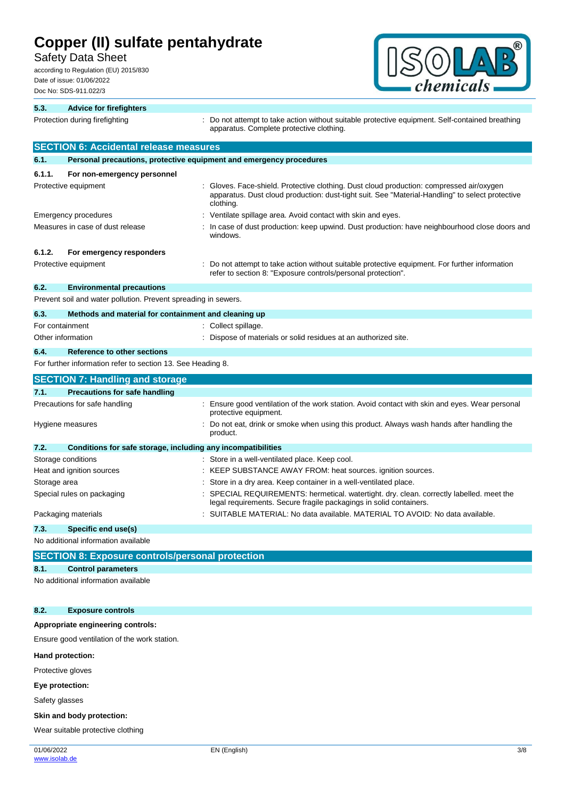Safety Data Sheet

according to Regulation (EU) 2015/830 Date of issue: 01/06/2022 Doc No: SDS-911.022/3



| 5.3.         | <b>Advice for firefighters</b>                                      |                                                                                                                                                                                                        |
|--------------|---------------------------------------------------------------------|--------------------------------------------------------------------------------------------------------------------------------------------------------------------------------------------------------|
|              | Protection during firefighting                                      | Do not attempt to take action without suitable protective equipment. Self-contained breathing<br>apparatus. Complete protective clothing.                                                              |
|              | <b>SECTION 6: Accidental release measures</b>                       |                                                                                                                                                                                                        |
| 6.1.         | Personal precautions, protective equipment and emergency procedures |                                                                                                                                                                                                        |
| 6.1.1.       | For non-emergency personnel                                         |                                                                                                                                                                                                        |
|              | Protective equipment                                                | Gloves. Face-shield. Protective clothing. Dust cloud production: compressed air/oxygen<br>apparatus. Dust cloud production: dust-tight suit. See "Material-Handling" to select protective<br>clothing. |
|              | <b>Emergency procedures</b>                                         | Ventilate spillage area. Avoid contact with skin and eyes.                                                                                                                                             |
|              | Measures in case of dust release                                    | In case of dust production: keep upwind. Dust production: have neighbourhood close doors and<br>windows.                                                                                               |
| 6.1.2.       | For emergency responders                                            |                                                                                                                                                                                                        |
|              | Protective equipment                                                | Do not attempt to take action without suitable protective equipment. For further information<br>refer to section 8: "Exposure controls/personal protection".                                           |
| 6.2.         | <b>Environmental precautions</b>                                    |                                                                                                                                                                                                        |
|              | Prevent soil and water pollution. Prevent spreading in sewers.      |                                                                                                                                                                                                        |
| 6.3.         | Methods and material for containment and cleaning up                |                                                                                                                                                                                                        |
|              | For containment                                                     | Collect spillage.                                                                                                                                                                                      |
|              | Other information                                                   | Dispose of materials or solid residues at an authorized site.                                                                                                                                          |
| 6.4.         | <b>Reference to other sections</b>                                  |                                                                                                                                                                                                        |
|              | For further information refer to section 13. See Heading 8.         |                                                                                                                                                                                                        |
|              | <b>SECTION 7: Handling and storage</b>                              |                                                                                                                                                                                                        |
| 7.1.         | <b>Precautions for safe handling</b>                                |                                                                                                                                                                                                        |
|              | Precautions for safe handling                                       | Ensure good ventilation of the work station. Avoid contact with skin and eyes. Wear personal<br>protective equipment.                                                                                  |
|              | Hygiene measures                                                    | Do not eat, drink or smoke when using this product. Always wash hands after handling the<br>product.                                                                                                   |
| 7.2.         | Conditions for safe storage, including any incompatibilities        |                                                                                                                                                                                                        |
|              | Storage conditions                                                  | Store in a well-ventilated place. Keep cool.                                                                                                                                                           |
|              | Heat and ignition sources                                           | KEEP SUBSTANCE AWAY FROM: heat sources. ignition sources.                                                                                                                                              |
| Storage area |                                                                     | Store in a dry area. Keep container in a well-ventilated place.                                                                                                                                        |
|              | Special rules on packaging                                          | SPECIAL REQUIREMENTS: hermetical. watertight. dry. clean. correctly labelled. meet the<br>legal requirements. Secure fragile packagings in solid containers.                                           |
|              | Packaging materials                                                 | SUITABLE MATERIAL: No data available. MATERIAL TO AVOID: No data available.                                                                                                                            |
| 7.3.         | Specific end use(s)                                                 |                                                                                                                                                                                                        |
|              | No additional information available                                 |                                                                                                                                                                                                        |
|              | <b>SECTION 8: Exposure controls/personal protection</b>             |                                                                                                                                                                                                        |

### **8.1. Control parameters**

No additional information available

### **8.2. Exposure controls**

### **Appropriate engineering controls:**

Ensure good ventilation of the work station.

### **Hand protection:**

Protective gloves

#### **Eye protection:**

Safety glasses

#### **Skin and body protection:**

Wear suitable protective clothing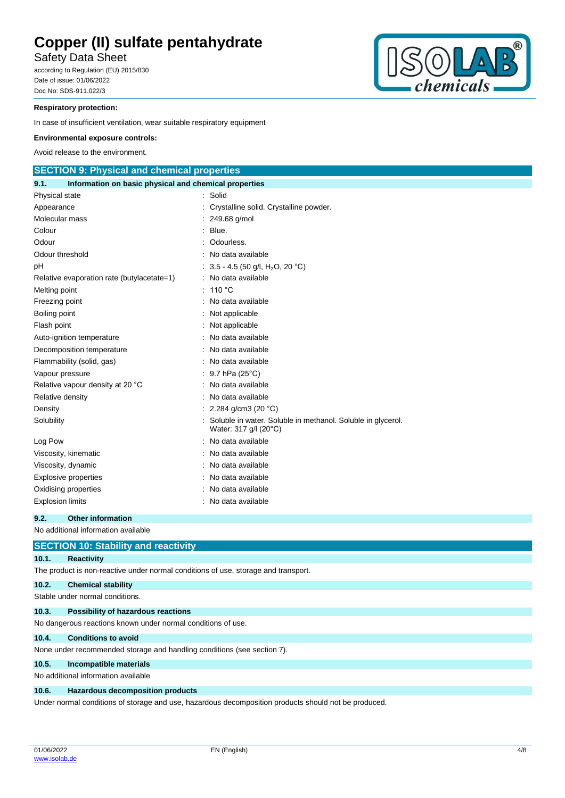Safety Data Sheet

according to Regulation (EU) 2015/830 Date of issue: 01/06/2022 Doc No: SDS-911.022/3



### **Respiratory protection:**

In case of insufficient ventilation, wear suitable respiratory equipment

#### **Environmental exposure controls:**

Avoid release to the environment.

| <b>SECTION 9: Physical and chemical properties</b>            |  |                                                                                      |  |  |  |  |
|---------------------------------------------------------------|--|--------------------------------------------------------------------------------------|--|--|--|--|
| 9.1.<br>Information on basic physical and chemical properties |  |                                                                                      |  |  |  |  |
| Physical state                                                |  | Solid                                                                                |  |  |  |  |
| Appearance                                                    |  | Crystalline solid. Crystalline powder.                                               |  |  |  |  |
| Molecular mass                                                |  | 249.68 g/mol                                                                         |  |  |  |  |
| Colour                                                        |  | Blue.                                                                                |  |  |  |  |
| Odour                                                         |  | Odourless.                                                                           |  |  |  |  |
| Odour threshold                                               |  | No data available                                                                    |  |  |  |  |
| рH                                                            |  | 3.5 - 4.5 (50 g/l, H <sub>2</sub> O, 20 °C)                                          |  |  |  |  |
| Relative evaporation rate (butylacetate=1)                    |  | : No data available                                                                  |  |  |  |  |
| Melting point                                                 |  | 110 $\degree$ C                                                                      |  |  |  |  |
| Freezing point                                                |  | No data available                                                                    |  |  |  |  |
| Boiling point                                                 |  | Not applicable                                                                       |  |  |  |  |
| Flash point                                                   |  | Not applicable                                                                       |  |  |  |  |
| Auto-ignition temperature                                     |  | No data available                                                                    |  |  |  |  |
| Decomposition temperature                                     |  | No data available                                                                    |  |  |  |  |
| Flammability (solid, gas)                                     |  | No data available                                                                    |  |  |  |  |
| Vapour pressure                                               |  | 9.7 hPa $(25^{\circ}C)$                                                              |  |  |  |  |
| Relative vapour density at 20 °C                              |  | No data available                                                                    |  |  |  |  |
| Relative density                                              |  | No data available                                                                    |  |  |  |  |
| Density                                                       |  | 2.284 g/cm3 (20 $°C$ )                                                               |  |  |  |  |
| Solubility                                                    |  | Soluble in water. Soluble in methanol. Soluble in glycerol.<br>Water: 317 g/l (20°C) |  |  |  |  |
| Log Pow                                                       |  | No data available                                                                    |  |  |  |  |
| Viscosity, kinematic                                          |  | No data available                                                                    |  |  |  |  |
| Viscosity, dynamic                                            |  | No data available                                                                    |  |  |  |  |
| <b>Explosive properties</b>                                   |  | No data available                                                                    |  |  |  |  |
| Oxidising properties                                          |  | No data available                                                                    |  |  |  |  |
| <b>Explosion limits</b>                                       |  | : No data available                                                                  |  |  |  |  |

### **9.2. Other information**

No additional information available

|       | <b>SECTION 10: Stability and reactivity</b>                                                          |
|-------|------------------------------------------------------------------------------------------------------|
| 10.1. | <b>Reactivity</b>                                                                                    |
|       | The product is non-reactive under normal conditions of use, storage and transport.                   |
| 10.2. | <b>Chemical stability</b>                                                                            |
|       | Stable under normal conditions.                                                                      |
| 10.3. | Possibility of hazardous reactions                                                                   |
|       | No dangerous reactions known under normal conditions of use.                                         |
| 10.4. | <b>Conditions to avoid</b>                                                                           |
|       | None under recommended storage and handling conditions (see section 7).                              |
| 10.5. | Incompatible materials                                                                               |
|       | No additional information available                                                                  |
| 10.6. | Hazardous decomposition products                                                                     |
|       | Under normal conditions of storage and use, hazardous decomposition products should not be produced. |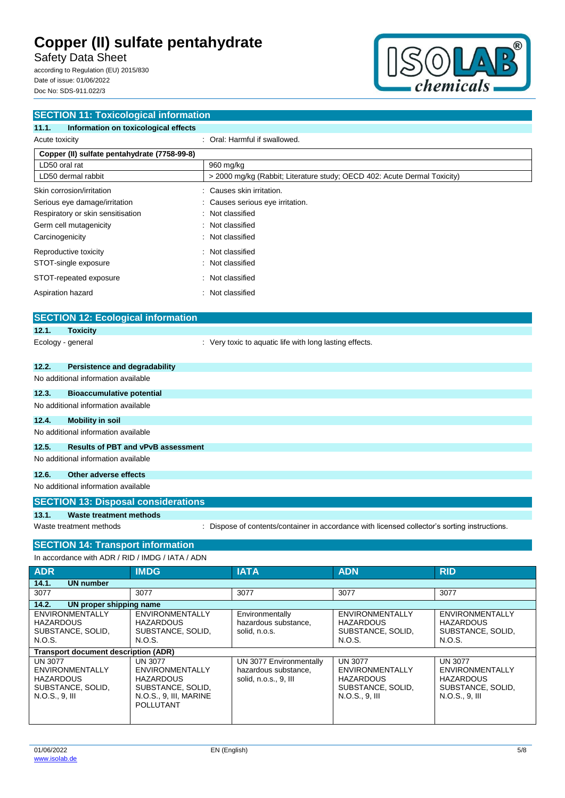Safety Data Sheet

according to Regulation (EU) 2015/830 Date of issue: 01/06/2022 Doc No: SDS-911.022/3



| <b>SECTION 11: Toxicological information</b>       |                                                                                               |  |  |  |  |
|----------------------------------------------------|-----------------------------------------------------------------------------------------------|--|--|--|--|
| 11.1.<br>Information on toxicological effects      |                                                                                               |  |  |  |  |
| Acute toxicity                                     | : Oral: Harmful if swallowed.                                                                 |  |  |  |  |
| Copper (II) sulfate pentahydrate (7758-99-8)       |                                                                                               |  |  |  |  |
| LD50 oral rat                                      | 960 mg/kg                                                                                     |  |  |  |  |
| LD50 dermal rabbit                                 | > 2000 mg/kg (Rabbit; Literature study; OECD 402: Acute Dermal Toxicity)                      |  |  |  |  |
| Skin corrosion/irritation                          | Causes skin irritation.                                                                       |  |  |  |  |
| Serious eye damage/irritation                      | Causes serious eye irritation.                                                                |  |  |  |  |
| Respiratory or skin sensitisation                  | Not classified                                                                                |  |  |  |  |
| Germ cell mutagenicity                             | Not classified                                                                                |  |  |  |  |
| Carcinogenicity                                    | Not classified                                                                                |  |  |  |  |
| Reproductive toxicity                              | Not classified                                                                                |  |  |  |  |
| STOT-single exposure                               | Not classified                                                                                |  |  |  |  |
| STOT-repeated exposure                             | Not classified                                                                                |  |  |  |  |
| Aspiration hazard                                  | Not classified                                                                                |  |  |  |  |
|                                                    |                                                                                               |  |  |  |  |
| <b>SECTION 12: Ecological information</b>          |                                                                                               |  |  |  |  |
| 12.1.<br><b>Toxicity</b>                           |                                                                                               |  |  |  |  |
| Ecology - general                                  | : Very toxic to aquatic life with long lasting effects.                                       |  |  |  |  |
|                                                    |                                                                                               |  |  |  |  |
| 12.2.<br><b>Persistence and degradability</b>      |                                                                                               |  |  |  |  |
| No additional information available                |                                                                                               |  |  |  |  |
| 12.3.<br><b>Bioaccumulative potential</b>          |                                                                                               |  |  |  |  |
| No additional information available                |                                                                                               |  |  |  |  |
| 12.4.<br><b>Mobility in soil</b>                   |                                                                                               |  |  |  |  |
| No additional information available                |                                                                                               |  |  |  |  |
| 12.5.<br><b>Results of PBT and vPvB assessment</b> |                                                                                               |  |  |  |  |
| No additional information available                |                                                                                               |  |  |  |  |
| 12.6.<br><b>Other adverse effects</b>              |                                                                                               |  |  |  |  |
| No additional information available                |                                                                                               |  |  |  |  |
| <b>SECTION 13: Disposal considerations</b>         |                                                                                               |  |  |  |  |
| 13.1.<br><b>Waste treatment methods</b>            |                                                                                               |  |  |  |  |
| Waste treatment methods                            | : Dispose of contents/container in accordance with licensed collector's sorting instructions. |  |  |  |  |
|                                                    |                                                                                               |  |  |  |  |
| <b>SECTION 14: Transport information</b>           |                                                                                               |  |  |  |  |
| In accordance with ADR / RID / IMDG / IATA / ADN   |                                                                                               |  |  |  |  |
| <b>ADR</b><br><b>IMDG</b>                          | <b>IATA</b><br>RID<br>ADN                                                                     |  |  |  |  |
| 14.1.<br><b>UN number</b><br>3077<br>3077          | 3077<br>3077<br>3077                                                                          |  |  |  |  |

| 14.2.<br>UN proper shipping name                                                             |                                                                                                                          |                                                                          |                                                                                                     |                                                                                              |  |  |  |  |
|----------------------------------------------------------------------------------------------|--------------------------------------------------------------------------------------------------------------------------|--------------------------------------------------------------------------|-----------------------------------------------------------------------------------------------------|----------------------------------------------------------------------------------------------|--|--|--|--|
| <b>ENVIRONMENTALLY</b><br><b>HAZARDOUS</b><br>SUBSTANCE, SOLID,<br>N.O.S.                    | <b>ENVIRONMENTALLY</b><br><b>HAZARDOUS</b><br>SUBSTANCE, SOLID.<br>N.O.S.                                                | Environmentally<br>hazardous substance,<br>solid, n.o.s.                 | <b>ENVIRONMENTALLY</b><br><b>HAZARDOUS</b><br>SUBSTANCE, SOLID,<br>N.O.S.                           | <b>ENVIRONMENTALLY</b><br><b>HAZARDOUS</b><br>SUBSTANCE, SOLID,<br>N.O.S.                    |  |  |  |  |
| <b>Transport document description (ADR)</b>                                                  |                                                                                                                          |                                                                          |                                                                                                     |                                                                                              |  |  |  |  |
| <b>UN 3077</b><br>ENVIRONMENTALLY<br><b>HAZARDOUS</b><br>SUBSTANCE, SOLID,<br>N.O.S., 9, III | <b>UN 3077</b><br>ENVIRONMENTALLY<br><b>HAZARDOUS</b><br>SUBSTANCE, SOLID,<br>N.O.S., 9, III, MARINE<br><b>POLLUTANT</b> | UN 3077 Environmentally<br>hazardous substance,<br>solid, n.o.s., 9, III | <b>UN 3077</b><br><b>ENVIRONMENTALLY</b><br><b>HAZARDOUS</b><br>SUBSTANCE, SOLID,<br>N.O.S., 9, III | <b>UN 3077</b><br>ENVIRONMENTALLY<br><b>HAZARDOUS</b><br>SUBSTANCE, SOLID,<br>N.O.S., 9, III |  |  |  |  |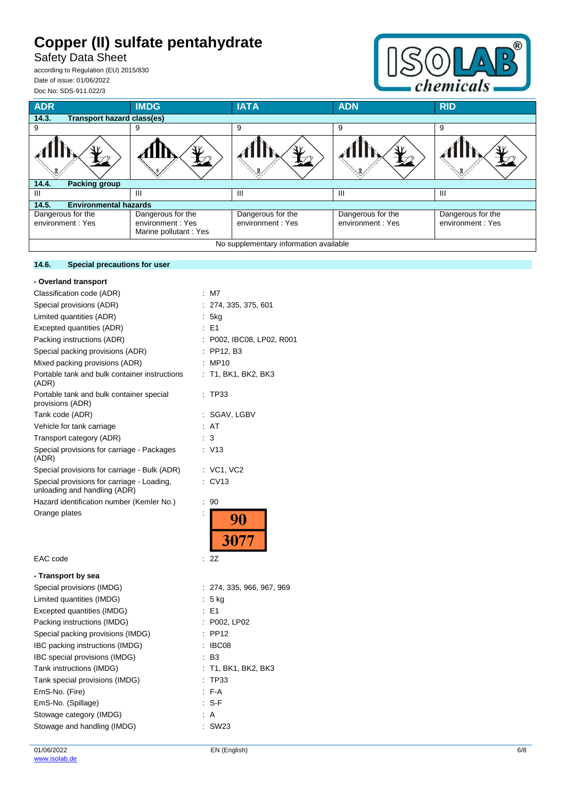Safety Data Sheet

according to Regulation (EU) 2015/830 Date of issue: 01/06/2022 Doc No: SDS-911.022/3

**14.6. Special precautions for user**



| <b>ADR</b>                                 | <b>IMDG</b>                                                    | <b>IATA</b>                           | <b>ADN</b>                            | <b>RID</b>                            |  |  |  |  |  |  |
|--------------------------------------------|----------------------------------------------------------------|---------------------------------------|---------------------------------------|---------------------------------------|--|--|--|--|--|--|
| 14.3.<br><b>Transport hazard class(es)</b> |                                                                |                                       |                                       |                                       |  |  |  |  |  |  |
| 9                                          | 9                                                              | 9                                     | 9                                     | 9                                     |  |  |  |  |  |  |
|                                            |                                                                |                                       |                                       |                                       |  |  |  |  |  |  |
| <b>Packing group</b><br>14.4.              |                                                                |                                       |                                       |                                       |  |  |  |  |  |  |
| Ш                                          | Ш                                                              | Ш                                     | Ш                                     | Ш                                     |  |  |  |  |  |  |
| <b>Environmental hazards</b><br>14.5.      |                                                                |                                       |                                       |                                       |  |  |  |  |  |  |
| Dangerous for the<br>environment : Yes     | Dangerous for the<br>environment: Yes<br>Marine pollutant: Yes | Dangerous for the<br>environment: Yes | Dangerous for the<br>environment: Yes | Dangerous for the<br>environment: Yes |  |  |  |  |  |  |
| No supplementary information available     |                                                                |                                       |                                       |                                       |  |  |  |  |  |  |

| - Overland transport                                                       |                                    |
|----------------------------------------------------------------------------|------------------------------------|
| Classification code (ADR)                                                  | M7<br>÷.                           |
| Special provisions (ADR)                                                   | 274, 335, 375, 601                 |
| Limited quantities (ADR)                                                   | 5kg                                |
| Excepted quantities (ADR)                                                  | $E = 51$                           |
| Packing instructions (ADR)                                                 | P002, IBC08, LP02, R001            |
| Special packing provisions (ADR)                                           | PP12, B3                           |
| Mixed packing provisions (ADR)                                             | MP10                               |
| Portable tank and bulk container instructions<br>(ADR)                     | T1, BK1, BK2, BK3                  |
| Portable tank and bulk container special<br>provisions (ADR)               | TP33                               |
| Tank code (ADR)                                                            | SGAV, LGBV                         |
| Vehicle for tank carriage                                                  | AT                                 |
| Transport category (ADR)                                                   | 3                                  |
| Special provisions for carriage - Packages<br>(ADR)                        | : V13                              |
| Special provisions for carriage - Bulk (ADR)                               | $:$ VC1, VC2                       |
| Special provisions for carriage - Loading,<br>unloading and handling (ADR) | CV13                               |
| Hazard identification number (Kemler No.)                                  | ÷<br>90                            |
| Orange plates                                                              | $\ddot{\phantom{a}}$<br>90<br>3077 |
| EAC code                                                                   | 2Z<br>÷                            |
| - Transport by sea                                                         |                                    |
| Special provisions (IMDG)                                                  | 274, 335, 966, 967, 969            |
| Limited quantities (IMDG)                                                  | 5 kg<br>÷.                         |
| Excepted quantities (IMDG)                                                 | E <sub>1</sub>                     |
| Packing instructions (IMDG)                                                | P002, LP02                         |
| Special packing provisions (IMDG)                                          | <b>PP12</b>                        |
| IBC packing instructions (IMDG)                                            | IBC08                              |

IBC special provisions (IMDG) : B3

Tank special provisions (IMDG) : TP33 EmS-No. (Fire) : F-A EmS-No. (Spillage) : S-F Stowage category (IMDG)  $\qquad \qquad$ : A Stowage and handling (IMDG) : SW23

Tank instructions (IMDG) : T1, BK1, BK2, BK3

## 01/06/2022 [www.isolab.de](http://www.isolab.de/)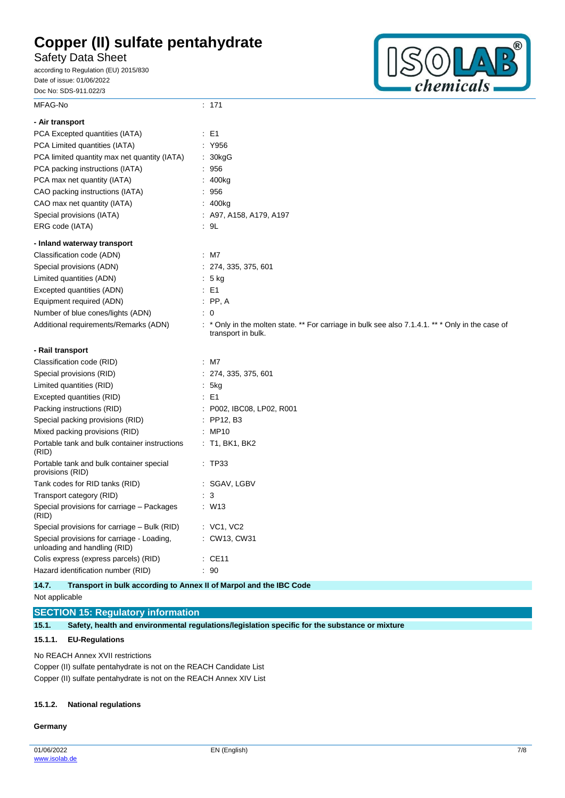Safety Data Sheet

according to Regulation (EU) 2015/830 Date of issue: 01/06/2022 Doc No: SDS-911.022/3



| MFAG-No                                                                    | : 171                                                                                                                |
|----------------------------------------------------------------------------|----------------------------------------------------------------------------------------------------------------------|
| - Air transport                                                            |                                                                                                                      |
| PCA Excepted quantities (IATA)                                             | : E1                                                                                                                 |
| PCA Limited quantities (IATA)                                              | : Y956                                                                                                               |
| PCA limited quantity max net quantity (IATA)                               | : 30kgG                                                                                                              |
| PCA packing instructions (IATA)                                            | : 956                                                                                                                |
| PCA max net quantity (IATA)                                                | 400kg                                                                                                                |
| CAO packing instructions (IATA)                                            | : 956                                                                                                                |
| CAO max net quantity (IATA)                                                | : 400kg                                                                                                              |
| Special provisions (IATA)                                                  | $:$ A97, A158, A179, A197                                                                                            |
| ERG code (IATA)                                                            | : 9L                                                                                                                 |
| - Inland waterway transport                                                |                                                                                                                      |
| Classification code (ADN)                                                  | $:$ M7                                                                                                               |
| Special provisions (ADN)                                                   | : 274, 335, 375, 601                                                                                                 |
| Limited quantities (ADN)                                                   | $: 5$ kg                                                                                                             |
| Excepted quantities (ADN)                                                  | $\therefore$ E1                                                                                                      |
| Equipment required (ADN)                                                   | $\therefore$ PP, A                                                                                                   |
| Number of blue cones/lights (ADN)                                          | $\colon 0$                                                                                                           |
| Additional requirements/Remarks (ADN)                                      | * Only in the molten state. ** For carriage in bulk see also 7.1.4.1. ** * Only in the case of<br>transport in bulk. |
|                                                                            |                                                                                                                      |
| - Rail transport                                                           |                                                                                                                      |
| Classification code (RID)                                                  | $:$ M7                                                                                                               |
| Special provisions (RID)                                                   | : 274, 335, 375, 601                                                                                                 |
| Limited quantities (RID)                                                   | : 5kg                                                                                                                |
| Excepted quantities (RID)                                                  | $\therefore$ E1                                                                                                      |
| Packing instructions (RID)                                                 | : P002, IBC08, LP02, R001                                                                                            |
| Special packing provisions (RID)                                           | $:$ PP12, B3                                                                                                         |
| Mixed packing provisions (RID)                                             | : MP10                                                                                                               |
| Portable tank and bulk container instructions<br>(RID)                     | $:$ T1, BK1, BK2                                                                                                     |
| Portable tank and bulk container special<br>provisions (RID)               | : TP33                                                                                                               |
| Tank codes for RID tanks (RID)                                             | : SGAV, LGBV                                                                                                         |
| Transport category (RID)                                                   | $\cdot$ 3                                                                                                            |
| Special provisions for carriage - Packages<br>(RID)                        | : W13                                                                                                                |
| Special provisions for carriage – Bulk (RID)                               | $:$ VC1, VC2                                                                                                         |
| Special provisions for carriage - Loading,<br>unloading and handling (RID) | : CW13, CW31                                                                                                         |
| Colis express (express parcels) (RID)                                      | $\therefore$ CE11                                                                                                    |

**14.7. Transport in bulk according to Annex II of Marpol and the IBC Code**

Not applicable

**SECTION 15: Regulatory information**

**15.1. Safety, health and environmental regulations/legislation specific for the substance or mixture**

### **15.1.1. EU-Regulations**

No REACH Annex XVII restrictions

Copper (II) sulfate pentahydrate is not on the REACH Candidate List Copper (II) sulfate pentahydrate is not on the REACH Annex XIV List

#### **15.1.2. National regulations**

#### **Germany**